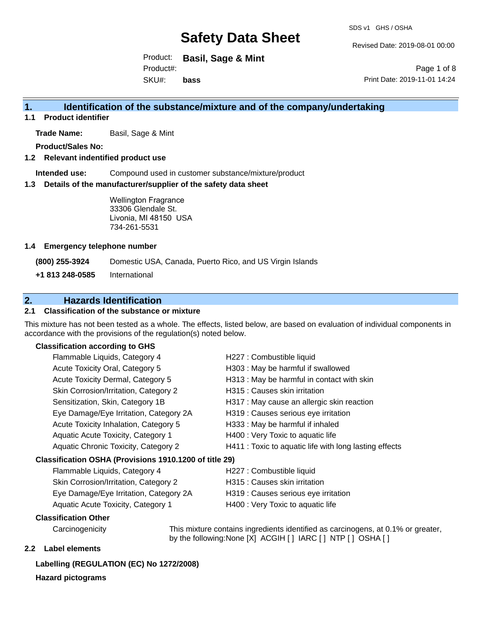Revised Date: 2019-08-01 00:00

Product: **Basil, Sage & Mint** SKU#: Product#: **bass**

Page 1 of 8 Print Date: 2019-11-01 14:24

### **1. Identification of the substance/mixture and of the company/undertaking**

**1.1 Product identifier**

**Trade Name:** Basil, Sage & Mint

**Product/Sales No:**

#### **1.2 Relevant indentified product use**

**Intended use:** Compound used in customer substance/mixture/product

#### **1.3 Details of the manufacturer/supplier of the safety data sheet**

Wellington Fragrance 33306 Glendale St. Livonia, MI 48150 USA 734-261-5531

#### **1.4 Emergency telephone number**

**(800) 255-3924** Domestic USA, Canada, Puerto Rico, and US Virgin Islands

**+1 813 248-0585** International

## **2. Hazards Identification**

### **2.1 Classification of the substance or mixture**

This mixture has not been tested as a whole. The effects, listed below, are based on evaluation of individual components in accordance with the provisions of the regulation(s) noted below.

#### **Classification according to GHS**

|                                                        | Flammable Liquids, Category 4          | H227 : Combustible liquid                              |
|--------------------------------------------------------|----------------------------------------|--------------------------------------------------------|
|                                                        | Acute Toxicity Oral, Category 5        | H303 : May be harmful if swallowed                     |
|                                                        | Acute Toxicity Dermal, Category 5      | H313: May be harmful in contact with skin              |
|                                                        | Skin Corrosion/Irritation, Category 2  | H315 : Causes skin irritation                          |
|                                                        | Sensitization, Skin, Category 1B       | H317 : May cause an allergic skin reaction             |
|                                                        | Eye Damage/Eye Irritation, Category 2A | H319 : Causes serious eye irritation                   |
|                                                        | Acute Toxicity Inhalation, Category 5  | H333: May be harmful if inhaled                        |
|                                                        | Aquatic Acute Toxicity, Category 1     | H400 : Very Toxic to aquatic life                      |
|                                                        | Aquatic Chronic Toxicity, Category 2   | H411 : Toxic to aquatic life with long lasting effects |
| Classification OSHA (Provisions 1910.1200 of title 29) |                                        |                                                        |
|                                                        | Flammable Liquids, Category 4          | H227 : Combustible liquid                              |
|                                                        |                                        |                                                        |

| Skin Corrosion/Irritation, Category 2  |
|----------------------------------------|
| Eye Damage/Eye Irritation, Category 2A |

- H315 : Causes skin irritation
- H319 : Causes serious eye irritation
- Aquatic Acute Toxicity, Category 1 H400 : Very Toxic to aquatic life

#### **Classification Other**

Carcinogenicity This mixture contains ingredients identified as carcinogens, at 0.1% or greater, by the following:None [X] ACGIH [ ] IARC [ ] NTP [ ] OSHA [ ]

#### **2.2 Label elements**

#### **Labelling (REGULATION (EC) No 1272/2008)**

**Hazard pictograms**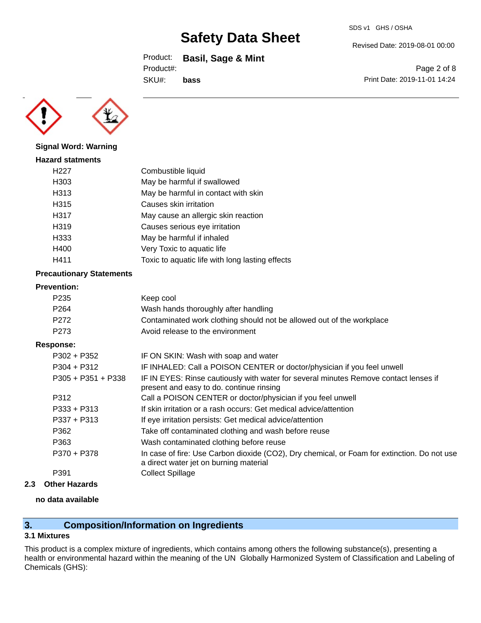Product: **Basil, Sage & Mint**

Product#:

SKU#: **bass**

Page 2 of 8 Print Date: 2019-11-01 14:24

Revised Date: 2019-08-01 00:00



**Signal Word: Warning**

| Combustible liquid                              |
|-------------------------------------------------|
| May be harmful if swallowed                     |
| May be harmful in contact with skin             |
| Causes skin irritation                          |
| May cause an allergic skin reaction             |
| Causes serious eye irritation                   |
| May be harmful if inhaled                       |
| Very Toxic to aquatic life                      |
| Toxic to aquatic life with long lasting effects |
|                                                 |

### **Precautionary Statements**

#### **Prevention:**

| P235                 | Keep cool                                                                                                                       |
|----------------------|---------------------------------------------------------------------------------------------------------------------------------|
| P <sub>264</sub>     | Wash hands thoroughly after handling                                                                                            |
| P <sub>272</sub>     | Contaminated work clothing should not be allowed out of the workplace                                                           |
| P273                 | Avoid release to the environment                                                                                                |
| Response:            |                                                                                                                                 |
| $P302 + P352$        | IF ON SKIN: Wash with soap and water                                                                                            |
| $P304 + P312$        | IF INHALED: Call a POISON CENTER or doctor/physician if you feel unwell                                                         |
| $P305 + P351 + P338$ | IF IN EYES: Rinse cautiously with water for several minutes Remove contact lenses if<br>present and easy to do continue rinsing |

|               | probotile and capy to do. continued implied                                                                                           |
|---------------|---------------------------------------------------------------------------------------------------------------------------------------|
| P312          | Call a POISON CENTER or doctor/physician if you feel unwell                                                                           |
| $P333 + P313$ | If skin irritation or a rash occurs: Get medical advice/attention                                                                     |
| $P337 + P313$ | If eye irritation persists: Get medical advice/attention                                                                              |
| P362          | Take off contaminated clothing and wash before reuse                                                                                  |
| P363          | Wash contaminated clothing before reuse                                                                                               |
| P370 + P378   | In case of fire: Use Carbon dioxide (CO2), Dry chemical, or Foam for extinction. Do not use<br>a direct water jet on burning material |
| P391          | <b>Collect Spillage</b>                                                                                                               |
|               |                                                                                                                                       |

**2.3 Other Hazards**

#### **no data available**

## **3. Composition/Information on Ingredients**

### **3.1 Mixtures**

This product is a complex mixture of ingredients, which contains among others the following substance(s), presenting a health or environmental hazard within the meaning of the UN Globally Harmonized System of Classification and Labeling of Chemicals (GHS):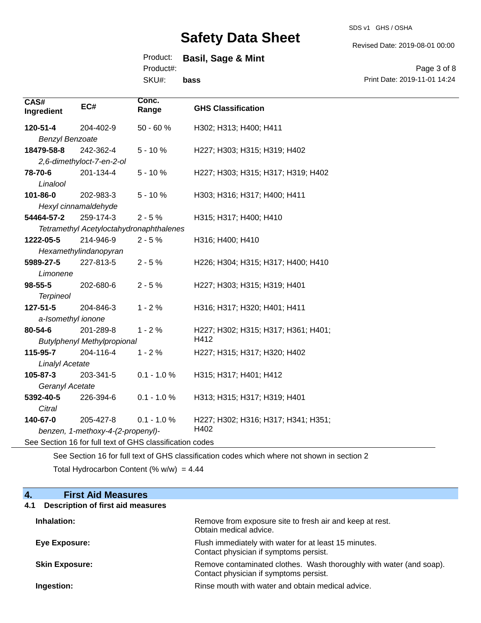SDS v1 GHS / OSHA

Revised Date: 2019-08-01 00:00

## Product: **Basil, Sage & Mint**

Product#:

SKU#: **bass**

Page 3 of 8 Print Date: 2019-11-01 14:24

| CAS#<br>Ingredient                         | EC#                                                      | Conc.<br>Range | <b>GHS Classification</b>           |  |
|--------------------------------------------|----------------------------------------------------------|----------------|-------------------------------------|--|
| 120-51-4                                   | 204-402-9                                                | 50 - 60 %      | H302; H313; H400; H411              |  |
| <b>Benzyl Benzoate</b>                     |                                                          |                |                                     |  |
| 18479-58-8                                 | 242-362-4                                                | $5 - 10%$      | H227; H303; H315; H319; H402        |  |
|                                            | 2,6-dimethyloct-7-en-2-ol                                |                |                                     |  |
| 78-70-6                                    | 201-134-4                                                | $5 - 10%$      | H227; H303; H315; H317; H319; H402  |  |
| Linalool                                   |                                                          |                |                                     |  |
| 101-86-0                                   | 202-983-3                                                | $5 - 10%$      | H303; H316; H317; H400; H411        |  |
|                                            | Hexyl cinnamaldehyde                                     |                |                                     |  |
| 54464-57-2                                 | 259-174-3                                                | $2 - 5%$       | H315; H317; H400; H410              |  |
|                                            | Tetramethyl Acetyloctahydronaphthalenes                  |                |                                     |  |
| 1222-05-5                                  | 214-946-9                                                | $2 - 5%$       | H316; H400; H410                    |  |
|                                            | Hexamethylindanopyran                                    |                |                                     |  |
| 5989-27-5                                  | 227-813-5                                                | $2 - 5%$       | H226; H304; H315; H317; H400; H410  |  |
| Limonene                                   |                                                          |                |                                     |  |
| $98 - 55 - 5$                              | 202-680-6                                                | $2 - 5%$       | H227; H303; H315; H319; H401        |  |
| <b>Terpineol</b>                           |                                                          |                |                                     |  |
| 127-51-5                                   | 204-846-3                                                | $1 - 2%$       | H316; H317; H320; H401; H411        |  |
|                                            | a-Isomethyl ionone                                       |                |                                     |  |
| 80-54-6                                    | 201-289-8                                                | $1 - 2%$       | H227; H302; H315; H317; H361; H401; |  |
| H412<br><b>Butylphenyl Methylpropional</b> |                                                          |                |                                     |  |
| 115-95-7                                   | 204-116-4                                                | $1 - 2%$       | H227; H315; H317; H320; H402        |  |
| <b>Linalyl Acetate</b>                     |                                                          |                |                                     |  |
| 105-87-3                                   | 203-341-5                                                | $0.1 - 1.0 %$  | H315; H317; H401; H412              |  |
| Geranyl Acetate                            |                                                          |                |                                     |  |
| 5392-40-5                                  | 226-394-6                                                | $0.1 - 1.0 %$  | H313; H315; H317; H319; H401        |  |
| Citral                                     |                                                          |                |                                     |  |
| 140-67-0                                   | 205-427-8                                                | $0.1 - 1.0 %$  | H227; H302; H316; H317; H341; H351; |  |
| H402<br>benzen, 1-methoxy-4-(2-propenyl)-  |                                                          |                |                                     |  |
|                                            | See Section 16 for full text of GHS classification codes |                |                                     |  |

See Section 16 for full text of GHS classification codes which where not shown in section 2 Total Hydrocarbon Content (%  $w/w$ ) = 4.44

### **4. First Aid Measures**

## **4.1 Description of first aid measures**

| Inhalation:           | Remove from exposure site to fresh air and keep at rest.<br>Obtain medical advice.                            |
|-----------------------|---------------------------------------------------------------------------------------------------------------|
| Eye Exposure:         | Flush immediately with water for at least 15 minutes.<br>Contact physician if symptoms persist.               |
| <b>Skin Exposure:</b> | Remove contaminated clothes. Wash thoroughly with water (and soap).<br>Contact physician if symptoms persist. |
| Ingestion:            | Rinse mouth with water and obtain medical advice.                                                             |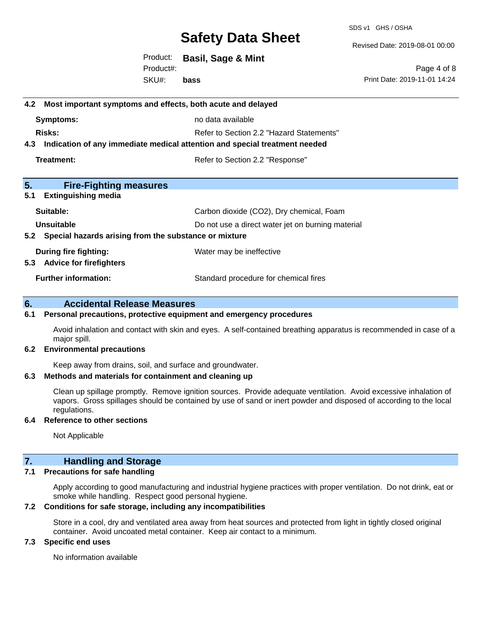SDS v1 GHS / OSHA

Revised Date: 2019-08-01 00:00

Product: **Basil, Sage & Mint** SKU#: Product#: **bass**

Page 4 of 8 Print Date: 2019-11-01 14:24

# **4.2 Most important symptoms and effects, both acute and delayed Symptoms:** no data available **Risks:** Risks: Refer to Section 2.2 "Hazard Statements" **4.3 Indication of any immediate medical attention and special treatment needed Treatment:** Treatment: Treatment: Refer to Section 2.2 "Response" **5. Fire-Fighting measures 5.1 Extinguishing media** Suitable: Carbon dioxide (CO2), Dry chemical, Foam **Unsuitable** Do not use a direct water jet on burning material **5.2 Special hazards arising from the substance or mixture During fire fighting:** Water may be ineffective **5.3 Advice for firefighters Further information:** Standard procedure for chemical fires **6. Accidental Release Measures**

#### **6.1 Personal precautions, protective equipment and emergency procedures**

Avoid inhalation and contact with skin and eyes. A self-contained breathing apparatus is recommended in case of a major spill.

#### **6.2 Environmental precautions**

Keep away from drains, soil, and surface and groundwater.

#### **6.3 Methods and materials for containment and cleaning up**

Clean up spillage promptly. Remove ignition sources. Provide adequate ventilation. Avoid excessive inhalation of vapors. Gross spillages should be contained by use of sand or inert powder and disposed of according to the local regulations.

#### **6.4 Reference to other sections**

Not Applicable

#### **7. Handling and Storage**

#### **7.1 Precautions for safe handling**

Apply according to good manufacturing and industrial hygiene practices with proper ventilation. Do not drink, eat or smoke while handling. Respect good personal hygiene.

#### **7.2 Conditions for safe storage, including any incompatibilities**

Store in a cool, dry and ventilated area away from heat sources and protected from light in tightly closed original container. Avoid uncoated metal container. Keep air contact to a minimum.

#### **7.3 Specific end uses**

No information available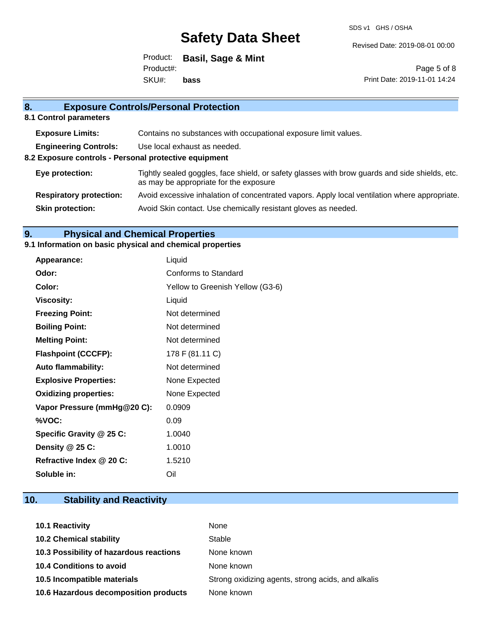SDS v1 GHS / OSHA

Revised Date: 2019-08-01 00:00

Product: **Basil, Sage & Mint** SKU#: Product#: **bass**

Page 5 of 8 Print Date: 2019-11-01 14:24

| 8.<br><b>Exposure Controls/Personal Protection</b>    |                                                                                                                                          |  |
|-------------------------------------------------------|------------------------------------------------------------------------------------------------------------------------------------------|--|
| 8.1 Control parameters                                |                                                                                                                                          |  |
| <b>Exposure Limits:</b>                               | Contains no substances with occupational exposure limit values.                                                                          |  |
| <b>Engineering Controls:</b>                          | Use local exhaust as needed.                                                                                                             |  |
| 8.2 Exposure controls - Personal protective equipment |                                                                                                                                          |  |
| Eye protection:                                       | Tightly sealed goggles, face shield, or safety glasses with brow guards and side shields, etc.<br>as may be appropriate for the exposure |  |
| <b>Respiratory protection:</b>                        | Avoid excessive inhalation of concentrated vapors. Apply local ventilation where appropriate.                                            |  |
| <b>Skin protection:</b>                               | Avoid Skin contact. Use chemically resistant gloves as needed.                                                                           |  |

## **9. Physical and Chemical Properties**

### **9.1 Information on basic physical and chemical properties**

| Appearance:                  | Liquid                           |
|------------------------------|----------------------------------|
| Odor:                        | Conforms to Standard             |
| Color:                       | Yellow to Greenish Yellow (G3-6) |
| <b>Viscosity:</b>            | Liquid                           |
| <b>Freezing Point:</b>       | Not determined                   |
| <b>Boiling Point:</b>        | Not determined                   |
| <b>Melting Point:</b>        | Not determined                   |
| <b>Flashpoint (CCCFP):</b>   | 178 F (81.11 C)                  |
| <b>Auto flammability:</b>    | Not determined                   |
| <b>Explosive Properties:</b> | None Expected                    |
| <b>Oxidizing properties:</b> | None Expected                    |
| Vapor Pressure (mmHg@20 C):  | 0.0909                           |
| %VOC:                        | 0.09                             |
| Specific Gravity @ 25 C:     | 1.0040                           |
| Density $@25C$ :             | 1.0010                           |
| Refractive Index @ 20 C:     | 1.5210                           |
| Soluble in:                  | Oil                              |

# **10. Stability and Reactivity**

| 10.1 Reactivity                         | None                                               |
|-----------------------------------------|----------------------------------------------------|
| <b>10.2 Chemical stability</b>          | Stable                                             |
| 10.3 Possibility of hazardous reactions | None known                                         |
| <b>10.4 Conditions to avoid</b>         | None known                                         |
| 10.5 Incompatible materials             | Strong oxidizing agents, strong acids, and alkalis |
| 10.6 Hazardous decomposition products   | None known                                         |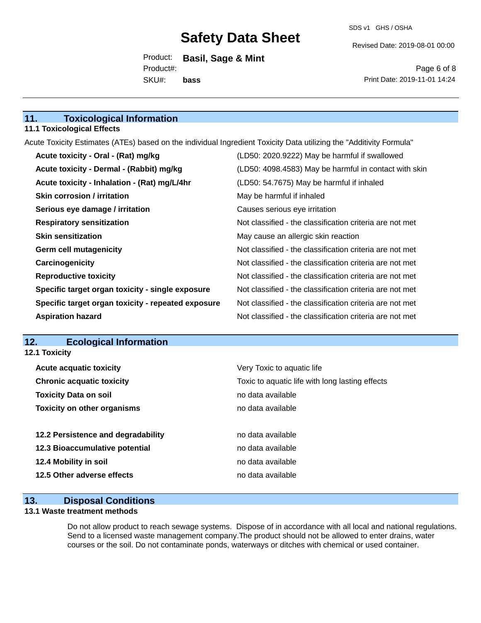Revised Date: 2019-08-01 00:00

Product: **Basil, Sage & Mint** SKU#: Product#: **bass**

Page 6 of 8 Print Date: 2019-11-01 14:24

## **11. Toxicological Information**

#### **11.1 Toxicological Effects**

Acute Toxicity Estimates (ATEs) based on the individual Ingredient Toxicity Data utilizing the "Additivity Formula"

| Acute toxicity - Oral - (Rat) mg/kg                | (LD50: 2020.9222) May be harmful if swallowed            |
|----------------------------------------------------|----------------------------------------------------------|
| Acute toxicity - Dermal - (Rabbit) mg/kg           | (LD50: 4098.4583) May be harmful in contact with skin    |
| Acute toxicity - Inhalation - (Rat) mg/L/4hr       | (LD50: 54.7675) May be harmful if inhaled                |
| <b>Skin corrosion / irritation</b>                 | May be harmful if inhaled                                |
| Serious eye damage / irritation                    | Causes serious eye irritation                            |
| <b>Respiratory sensitization</b>                   | Not classified - the classification criteria are not met |
| <b>Skin sensitization</b>                          | May cause an allergic skin reaction                      |
| <b>Germ cell mutagenicity</b>                      | Not classified - the classification criteria are not met |
| Carcinogenicity                                    | Not classified - the classification criteria are not met |
| <b>Reproductive toxicity</b>                       | Not classified - the classification criteria are not met |
| Specific target organ toxicity - single exposure   | Not classified - the classification criteria are not met |
| Specific target organ toxicity - repeated exposure | Not classified - the classification criteria are not met |
| <b>Aspiration hazard</b>                           | Not classified - the classification criteria are not met |

### **12. Ecological Information**

**12.1 Toxicity**

| <b>Acute acquatic toxicity</b>     | Very Toxic to aquatic life                      |
|------------------------------------|-------------------------------------------------|
| <b>Chronic acquatic toxicity</b>   | Toxic to aquatic life with long lasting effects |
| <b>Toxicity Data on soil</b>       | no data available                               |
| <b>Toxicity on other organisms</b> | no data available                               |
|                                    |                                                 |
| 12.2 Persistence and degradability | no data available                               |
| 12.3 Bioaccumulative potential     | no data available                               |
| 12.4 Mobility in soil              | no data available                               |
| 12.5 Other adverse effects         | no data available                               |
|                                    |                                                 |

### **13. Disposal Conditions**

#### **13.1 Waste treatment methods**

Do not allow product to reach sewage systems. Dispose of in accordance with all local and national regulations. Send to a licensed waste management company.The product should not be allowed to enter drains, water courses or the soil. Do not contaminate ponds, waterways or ditches with chemical or used container.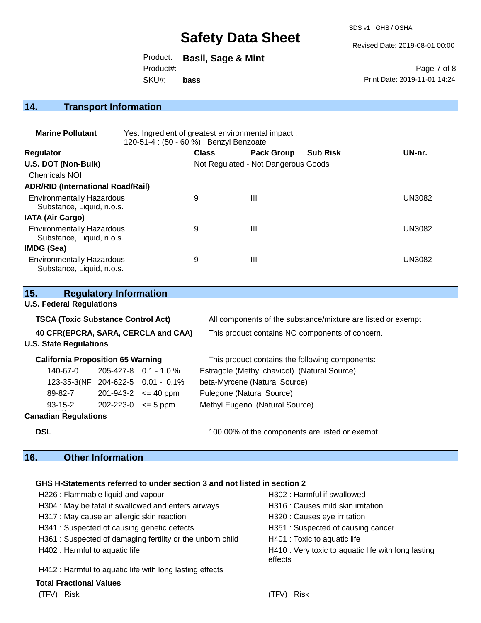SDS v1 GHS / OSHA

Revised Date: 2019-08-01 00:00

Product: **Basil, Sage & Mint** SKU#: Product#: **bass**

Page 7 of 8 Print Date: 2019-11-01 14:24

## **14. Transport Information**

| <b>Marine Pollutant</b>                                       | Yes. Ingredient of greatest environmental impact:<br>120-51-4 : (50 - 60 %) : Benzyl Benzoate |              |                                     |                 |               |
|---------------------------------------------------------------|-----------------------------------------------------------------------------------------------|--------------|-------------------------------------|-----------------|---------------|
| <b>Regulator</b>                                              |                                                                                               | <b>Class</b> | <b>Pack Group</b>                   | <b>Sub Risk</b> | UN-nr.        |
| U.S. DOT (Non-Bulk)                                           |                                                                                               |              | Not Regulated - Not Dangerous Goods |                 |               |
| <b>Chemicals NOI</b>                                          |                                                                                               |              |                                     |                 |               |
| <b>ADR/RID (International Road/Rail)</b>                      |                                                                                               |              |                                     |                 |               |
| <b>Environmentally Hazardous</b><br>Substance, Liquid, n.o.s. |                                                                                               | 9            | Ш                                   |                 | <b>UN3082</b> |
| <b>IATA (Air Cargo)</b>                                       |                                                                                               |              |                                     |                 |               |
| <b>Environmentally Hazardous</b><br>Substance, Liquid, n.o.s. |                                                                                               | 9            | Ш                                   |                 | <b>UN3082</b> |
| IMDG (Sea)                                                    |                                                                                               |              |                                     |                 |               |
| <b>Environmentally Hazardous</b><br>Substance, Liquid, n.o.s. |                                                                                               | 9            | Ш                                   |                 | <b>UN3082</b> |

| 15.                                       |                                 | <b>Regulatory Information</b> |                                   |                                                              |  |
|-------------------------------------------|---------------------------------|-------------------------------|-----------------------------------|--------------------------------------------------------------|--|
|                                           | <b>U.S. Federal Regulations</b> |                               |                                   |                                                              |  |
| <b>TSCA (Toxic Substance Control Act)</b> |                                 |                               |                                   | All components of the substance/mixture are listed or exempt |  |
| 40 CFR(EPCRA, SARA, CERCLA and CAA)       |                                 |                               |                                   | This product contains NO components of concern.              |  |
|                                           | <b>U.S. State Regulations</b>   |                               |                                   |                                                              |  |
| <b>California Proposition 65 Warning</b>  |                                 |                               |                                   | This product contains the following components:              |  |
|                                           | 140-67-0                        |                               | $205 - 427 - 8$ 0.1 - 1.0 %       | Estragole (Methyl chavicol) (Natural Source)                 |  |
|                                           |                                 |                               | 123-35-3(NF 204-622-5 0.01 - 0.1% | beta-Myrcene (Natural Source)                                |  |
|                                           | 89-82-7                         |                               | $201 - 943 - 2 \leq 40$ ppm       | Pulegone (Natural Source)                                    |  |
|                                           | $93 - 15 - 2$                   | $202 - 223 - 0 \le 5$ ppm     |                                   | Methyl Eugenol (Natural Source)                              |  |
|                                           | <b>Canadian Regulations</b>     |                               |                                   |                                                              |  |
| <b>DSL</b>                                |                                 |                               |                                   | 100.00% of the components are listed or exempt.              |  |

## **16. Other Information**

#### **GHS H-Statements referred to under section 3 and not listed in section 2**

| H226 : Flammable liquid and vapour                        | H302: Harmful if swallowed                                     |
|-----------------------------------------------------------|----------------------------------------------------------------|
| H304 : May be fatal if swallowed and enters airways       | H316 : Causes mild skin irritation                             |
| H317 : May cause an allergic skin reaction                | H320 : Causes eye irritation                                   |
| H341 : Suspected of causing genetic defects               | H351: Suspected of causing cancer                              |
| H361: Suspected of damaging fertility or the unborn child | H401 : Toxic to aquatic life                                   |
| H402 : Harmful to aquatic life                            | H410 : Very toxic to aquatic life with long lasting<br>effects |
| H412 : Harmful to aquatic life with long lasting effects  |                                                                |
|                                                           |                                                                |

### **Total Fractional Values**

(TFV) Risk (TFV) Risk